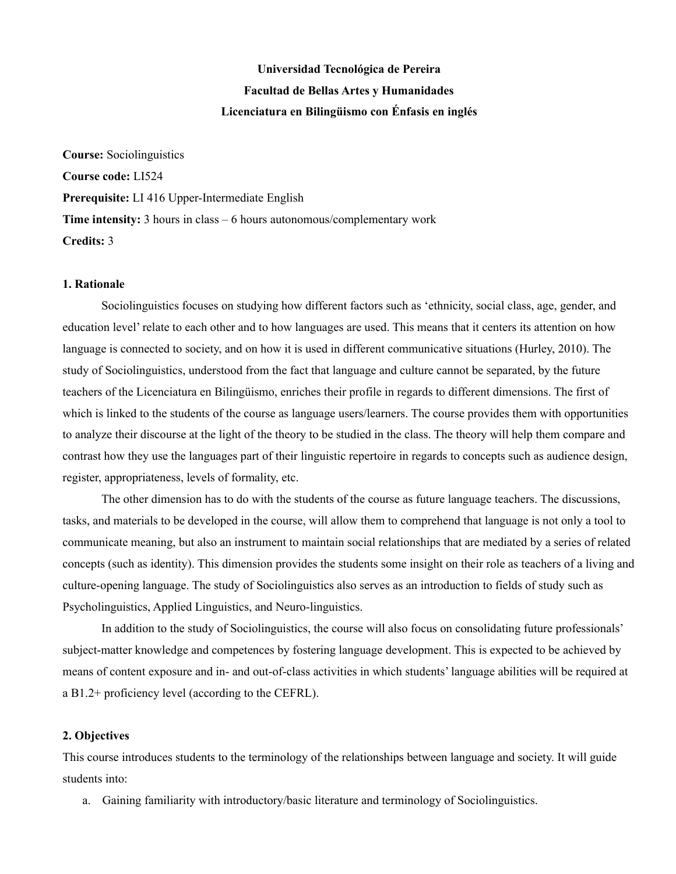# **Universidad Tecnológica de Pereira Facultad de Bellas Artes y Humanidades Licenciatura en Bilingüismo con Énfasis en inglés**

**Course:** Sociolinguistics **Course code:** LI524 **Prerequisite:** LI 416 Upper-Intermediate English **Time intensity:** 3 hours in class – 6 hours autonomous/complementary work **Credits:** 3

## **1. Rationale**

Sociolinguistics focuses on studying how different factors such as 'ethnicity, social class, age, gender, and education level' relate to each other and to how languages are used. This means that it centers its attention on how language is connected to society, and on how it is used in different communicative situations (Hurley, 2010). The study of Sociolinguistics, understood from the fact that language and culture cannot be separated, by the future teachers of the Licenciatura en Bilingüismo, enriches their profile in regards to different dimensions. The first of which is linked to the students of the course as language users/learners. The course provides them with opportunities to analyze their discourse at the light of the theory to be studied in the class. The theory will help them compare and contrast how they use the languages part of their linguistic repertoire in regards to concepts such as audience design, register, appropriateness, levels of formality, etc.

The other dimension has to do with the students of the course as future language teachers. The discussions, tasks, and materials to be developed in the course, will allow them to comprehend that language is not only a tool to communicate meaning, but also an instrument to maintain social relationships that are mediated by a series of related concepts (such as identity). This dimension provides the students some insight on their role as teachers of a living and culture-opening language. The study of Sociolinguistics also serves as an introduction to fields of study such as Psycholinguistics, Applied Linguistics, and Neuro-linguistics.

In addition to the study of Sociolinguistics, the course will also focus on consolidating future professionals' subject-matter knowledge and competences by fostering language development. This is expected to be achieved by means of content exposure and in- and out-of-class activities in which students' language abilities will be required at a B1.2+ proficiency level (according to the CEFRL).

## **2. Objectives**

This course introduces students to the terminology of the relationships between language and society. It will guide students into:

a. Gaining familiarity with introductory/basic literature and terminology of Sociolinguistics.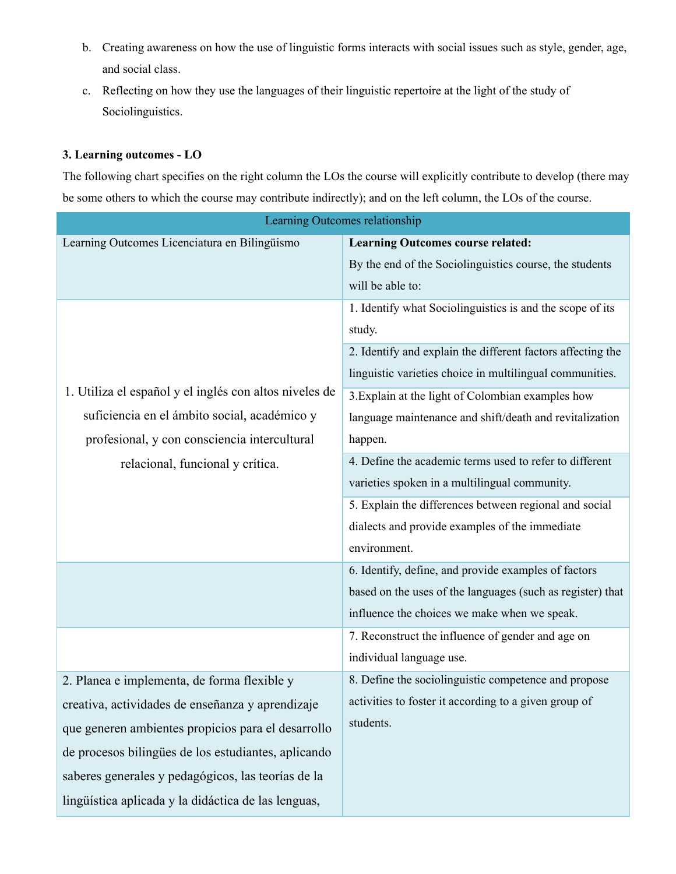- b. Creating awareness on how the use of linguistic forms interacts with social issues such as style, gender, age, and social class.
- c. Reflecting on how they use the languages of their linguistic repertoire at the light of the study of Sociolinguistics.

# **3. Learning outcomes - LO**

The following chart specifies on the right column the LOs the course will explicitly contribute to develop (there may be some others to which the course may contribute indirectly); and on the left column, the LOs of the course.

| Learning Outcomes relationship                                                                                                                         |                                                             |  |
|--------------------------------------------------------------------------------------------------------------------------------------------------------|-------------------------------------------------------------|--|
| Learning Outcomes Licenciatura en Bilingüismo                                                                                                          | <b>Learning Outcomes course related:</b>                    |  |
|                                                                                                                                                        | By the end of the Sociolinguistics course, the students     |  |
|                                                                                                                                                        | will be able to:                                            |  |
| 1. Utiliza el español y el inglés con altos niveles de<br>suficiencia en el ámbito social, académico y<br>profesional, y con consciencia intercultural | 1. Identify what Sociolinguistics is and the scope of its   |  |
|                                                                                                                                                        | study.                                                      |  |
|                                                                                                                                                        | 2. Identify and explain the different factors affecting the |  |
|                                                                                                                                                        | linguistic varieties choice in multilingual communities.    |  |
|                                                                                                                                                        | 3. Explain at the light of Colombian examples how           |  |
|                                                                                                                                                        | language maintenance and shift/death and revitalization     |  |
|                                                                                                                                                        | happen.                                                     |  |
| relacional, funcional y crítica.                                                                                                                       | 4. Define the academic terms used to refer to different     |  |
|                                                                                                                                                        | varieties spoken in a multilingual community.               |  |
|                                                                                                                                                        | 5. Explain the differences between regional and social      |  |
|                                                                                                                                                        | dialects and provide examples of the immediate              |  |
|                                                                                                                                                        | environment.                                                |  |
|                                                                                                                                                        | 6. Identify, define, and provide examples of factors        |  |
|                                                                                                                                                        | based on the uses of the languages (such as register) that  |  |
|                                                                                                                                                        | influence the choices we make when we speak.                |  |
|                                                                                                                                                        | 7. Reconstruct the influence of gender and age on           |  |
|                                                                                                                                                        | individual language use.                                    |  |
| 2. Planea e implementa, de forma flexible y                                                                                                            | 8. Define the sociolinguistic competence and propose        |  |
| creativa, actividades de enseñanza y aprendizaje                                                                                                       | activities to foster it according to a given group of       |  |
| que generen ambientes propicios para el desarrollo                                                                                                     | students.                                                   |  |
| de procesos bilingües de los estudiantes, aplicando                                                                                                    |                                                             |  |
| saberes generales y pedagógicos, las teorías de la                                                                                                     |                                                             |  |
| lingüística aplicada y la didáctica de las lenguas,                                                                                                    |                                                             |  |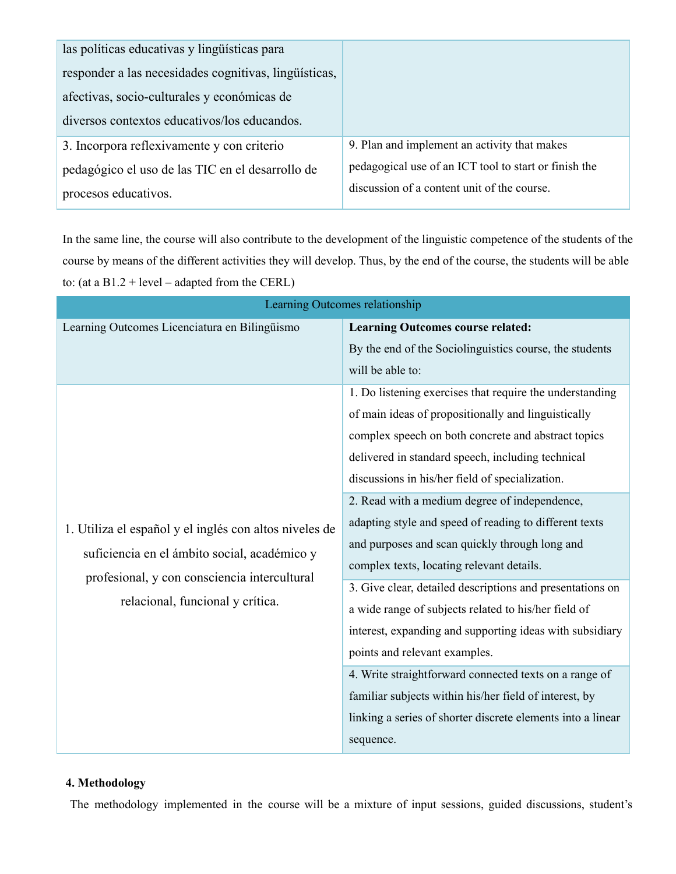| las políticas educativas y lingüísticas para          |                                                       |
|-------------------------------------------------------|-------------------------------------------------------|
| responder a las necesidades cognitivas, lingüísticas, |                                                       |
| afectivas, socio-culturales y económicas de           |                                                       |
| diversos contextos educativos/los educandos.          |                                                       |
| 3. Incorpora reflexivamente y con criterio            | 9. Plan and implement an activity that makes          |
| pedagógico el uso de las TIC en el desarrollo de      | pedagogical use of an ICT tool to start or finish the |
| procesos educativos.                                  | discussion of a content unit of the course.           |

In the same line, the course will also contribute to the development of the linguistic competence of the students of the course by means of the different activities they will develop. Thus, by the end of the course, the students will be able to: (at a  $B1.2 + level - adapted from the CERL)$ 

| Learning Outcomes relationship                                                                                                                                                             |                                                                                                                                                                                                                                                                                                                                                                                                                                                                                                                                                                                                                                                                                                                                                                                                                                                                                                            |  |
|--------------------------------------------------------------------------------------------------------------------------------------------------------------------------------------------|------------------------------------------------------------------------------------------------------------------------------------------------------------------------------------------------------------------------------------------------------------------------------------------------------------------------------------------------------------------------------------------------------------------------------------------------------------------------------------------------------------------------------------------------------------------------------------------------------------------------------------------------------------------------------------------------------------------------------------------------------------------------------------------------------------------------------------------------------------------------------------------------------------|--|
| Learning Outcomes Licenciatura en Bilingüismo                                                                                                                                              | <b>Learning Outcomes course related:</b>                                                                                                                                                                                                                                                                                                                                                                                                                                                                                                                                                                                                                                                                                                                                                                                                                                                                   |  |
|                                                                                                                                                                                            | By the end of the Sociolinguistics course, the students<br>will be able to:                                                                                                                                                                                                                                                                                                                                                                                                                                                                                                                                                                                                                                                                                                                                                                                                                                |  |
| 1. Utiliza el español y el inglés con altos niveles de<br>suficiencia en el ámbito social, académico y<br>profesional, y con consciencia intercultural<br>relacional, funcional y crítica. | 1. Do listening exercises that require the understanding<br>of main ideas of propositionally and linguistically<br>complex speech on both concrete and abstract topics<br>delivered in standard speech, including technical<br>discussions in his/her field of specialization.<br>2. Read with a medium degree of independence,<br>adapting style and speed of reading to different texts<br>and purposes and scan quickly through long and<br>complex texts, locating relevant details.<br>3. Give clear, detailed descriptions and presentations on<br>a wide range of subjects related to his/her field of<br>interest, expanding and supporting ideas with subsidiary<br>points and relevant examples.<br>4. Write straightforward connected texts on a range of<br>familiar subjects within his/her field of interest, by<br>linking a series of shorter discrete elements into a linear<br>sequence. |  |

## **4. Methodology**

The methodology implemented in the course will be a mixture of input sessions, guided discussions, student's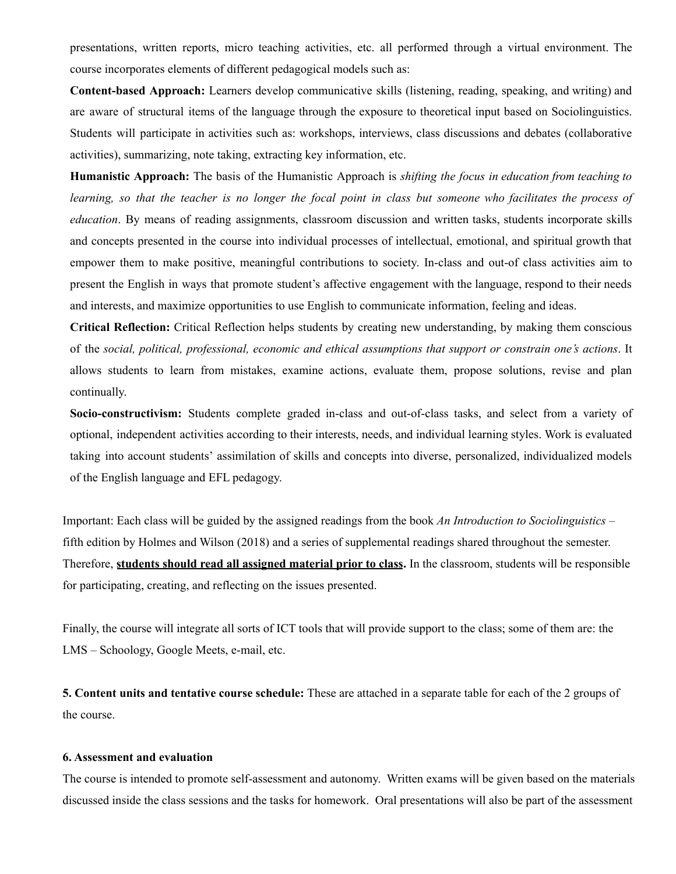presentations, written reports, micro teaching activities, etc. all performed through a virtual environment. The course incorporates elements of different pedagogical models such as:

**Content-based Approach:** Learners develop communicative skills (listening, reading, speaking, and writing) and are aware of structural items of the language through the exposure to theoretical input based on Sociolinguistics. Students will participate in activities such as: workshops, interviews, class discussions and debates (collaborative activities), summarizing, note taking, extracting key information, etc.

**Humanistic Approach:** The basis of the Humanistic Approach is *shifting the focus in education from teaching to* learning, so that the teacher is no longer the focal point in class but someone who facilitates the process of *education*. By means of reading assignments, classroom discussion and written tasks, students incorporate skills and concepts presented in the course into individual processes of intellectual, emotional, and spiritual growth that empower them to make positive, meaningful contributions to society. In-class and out-of class activities aim to present the English in ways that promote student's affective engagement with the language, respond to their needs and interests, and maximize opportunities to use English to communicate information, feeling and ideas.

**Critical Reflection:** Critical Reflection helps students by creating new understanding, by making them conscious of the *social, political, professional, economic and ethical assumptions that support or constrain one's actions*. It allows students to learn from mistakes, examine actions, evaluate them, propose solutions, revise and plan continually.

**Socio-constructivism:** Students complete graded in-class and out-of-class tasks, and select from a variety of optional, independent activities according to their interests, needs, and individual learning styles. Work is evaluated taking into account students' assimilation of skills and concepts into diverse, personalized, individualized models of the English language and EFL pedagogy.

Important: Each class will be guided by the assigned readings from the book *An Introduction to Sociolinguistics* – fifth edition by Holmes and Wilson (2018) and a series of supplemental readings shared throughout the semester. Therefore, **students should read all assigned material prior to class.** In the classroom, students will be responsible for participating, creating, and reflecting on the issues presented.

Finally, the course will integrate all sorts of ICT tools that will provide support to the class; some of them are: the LMS – Schoology, Google Meets, e-mail, etc.

**5. Content units and tentative course schedule:** These are attached in a separate table for each of the 2 groups of the course.

#### **6. Assessment and evaluation**

The course is intended to promote self-assessment and autonomy. Written exams will be given based on the materials discussed inside the class sessions and the tasks for homework. Oral presentations will also be part of the assessment